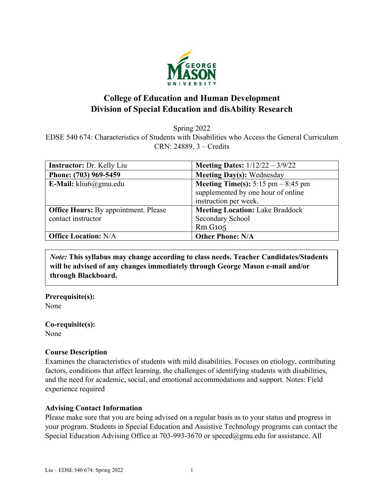

# **College of Education and Human Development Division of Special Education and disAbility Research**

Spring 2022

EDSE 540 674: Characteristics of Students with Disabilities who Access the General Curriculum CRN: 24889, 3 – Credits

| <b>Instructor:</b> Dr. Kelly Liu            | <b>Meeting Dates:</b> $1/12/22 - 3/9/22$    |
|---------------------------------------------|---------------------------------------------|
| Phone: (703) 969-5459                       | <b>Meeting Day(s): Wednesday</b>            |
| E-Mail: $k$ liu $6$ @gmu.edu                | <b>Meeting Time(s):</b> 5:15 pm $-$ 8:45 pm |
|                                             | supplemented by one hour of online          |
|                                             | instruction per week.                       |
| <b>Office Hours:</b> By appointment. Please | <b>Meeting Location: Lake Braddock</b>      |
| contact instructor                          | Secondary School                            |
|                                             | <b>Rm G105</b>                              |
| <b>Office Location: N/A</b>                 | <b>Other Phone: N/A</b>                     |

*Note:* **This syllabus may change according to class needs. Teacher Candidates/Students will be advised of any changes immediately through George Mason e-mail and/or through Blackboard.**

**Prerequisite(s):** None

**Co-requisite(s):** None

### **Course Description**

Examines the characteristics of students with mild disabilities. Focuses on etiology, contributing factors, conditions that affect learning, the challenges of identifying students with disabilities, and the need for academic, social, and emotional accommodations and support. Notes: Field experience required

### **Advising Contact Information**

Please make sure that you are being advised on a regular basis as to your status and progress in your program. Students in Special Education and Assistive Technology programs can contact the Special Education Advising Office at 703-993-3670 or [speced@gmu.edu](mailto:speced@gmu.edu) for assistance. All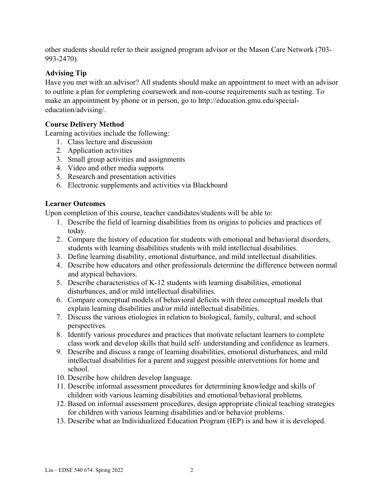other students should refer to their assigned program advisor or the Mason Care Network (703- 993-2470).

# **Advising Tip**

Have you met with an advisor? All students should make an appointment to meet with an advisor to outline a plan for completing coursework and non-course requirements such as testing. To make an appointment by phone or in person, go to http://education.gmu.edu/specialeducation/advising/.

# **Course Delivery Method**

Learning activities include the following:

- 1. Class lecture and discussion
- 2. Application activities
- 3. Small group activities and assignments
- 4. Video and other media supports
- 5. Research and presentation activities
- 6. Electronic supplements and activities via Blackboard

# **Learner Outcomes**

Upon completion of this course, teacher candidates/students will be able to:

- 1. Describe the field of learning disabilities from its origins to policies and practices of today.
- 2. Compare the history of education for students with emotional and behavioral disorders, students with learning disabilities students with mild intellectual disabilities.
- 3. Define learning disability, emotional disturbance, and mild intellectual disabilities.
- 4. Describe how educators and other professionals determine the difference between normal and atypical behaviors.
- 5. Describe characteristics of K-12 students with learning disabilities, emotional disturbances, and/or mild intellectual disabilities.
- 6. Compare conceptual models of behavioral deficits with three conceptual models that explain learning disabilities and/or mild intellectual disabilities.
- 7. Discuss the various etiologies in relation to biological, family, cultural, and school perspectives.
- 8. Identify various procedures and practices that motivate reluctant learners to complete class work and develop skills that build self- understanding and confidence as learners.
- 9. Describe and discuss a range of learning disabilities, emotional disturbances, and mild intellectual disabilities for a parent and suggest possible interventions for home and school.
- 10. Describe how children develop language.
- 11. Describe informal assessment procedures for determining knowledge and skills of children with various learning disabilities and emotional/behavioral problems.
- 12. Based on informal assessment procedures, design appropriate clinical teaching strategies for children with various learning disabilities and/or behavior problems.
- 13. Describe what an Individualized Education Program (IEP) is and how it is developed.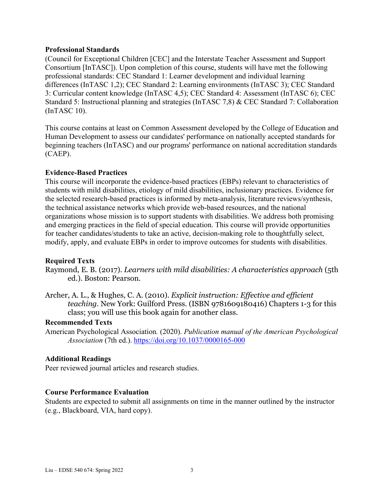### **Professional Standards**

(Council for Exceptional Children [CEC] and the Interstate Teacher Assessment and Support Consortium [InTASC]). Upon completion of this course, students will have met the following professional standards: CEC Standard 1: Learner development and individual learning differences (InTASC 1,2); CEC Standard 2: Learning environments (InTASC 3); CEC Standard 3: Curricular content knowledge (InTASC 4,5); CEC Standard 4: Assessment (InTASC 6); CEC Standard 5: Instructional planning and strategies (InTASC 7,8) & CEC Standard 7: Collaboration (InTASC 10).

This course contains at least on Common Assessment developed by the College of Education and Human Development to assess our candidates' performance on nationally accepted standards for beginning teachers (InTASC) and our programs' performance on national accreditation standards (CAEP).

### **Evidence-Based Practices**

This course will incorporate the evidence-based practices (EBPs) relevant to characteristics of students with mild disabilities, etiology of mild disabilities, inclusionary practices. Evidence for the selected research-based practices is informed by meta-analysis, literature reviews/synthesis, the technical assistance networks which provide web-based resources, and the national organizations whose mission is to support students with disabilities. We address both promising and emerging practices in the field of special education. This course will provide opportunities for teacher candidates/students to take an active, decision-making role to thoughtfully select, modify, apply, and evaluate EBPs in order to improve outcomes for students with disabilities.

### **Required Texts**

Raymond, E. B. (2017). *Learners with mild disabilities: A characteristics approach* (5th ed.). Boston: Pearson.

Archer, A. L., & Hughes, C. A. (2010). *Explicit instruction: Effective and efficient teaching.* New York: Guilford Press. (ISBN 9781609180416) Chapters 1-3 for this class; you will use this book again for another class.

### **Recommended Texts**

American Psychological Association*.* (2020). *Publication manual of the American Psychological Association* (7th ed.). <https://doi.org/10.1037/0000165-000>

### **Additional Readings**

Peer reviewed journal articles and research studies.

### **Course Performance Evaluation**

Students are expected to submit all assignments on time in the manner outlined by the instructor (e.g., Blackboard, VIA, hard copy).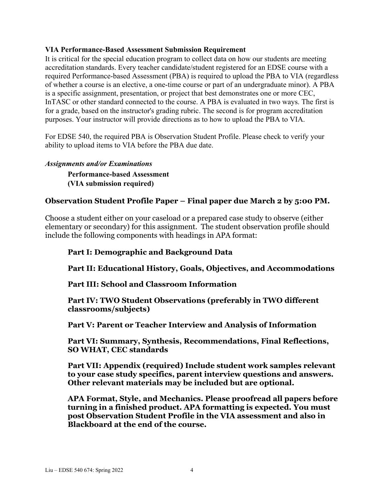### **VIA Performance-Based Assessment Submission Requirement**

It is critical for the special education program to collect data on how our students are meeting accreditation standards. Every teacher candidate/student registered for an EDSE course with a required Performance-based Assessment (PBA) is required to upload the PBA to VIA (regardless of whether a course is an elective, a one-time course or part of an undergraduate minor). A PBA is a specific assignment, presentation, or project that best demonstrates one or more CEC, InTASC or other standard connected to the course. A PBA is evaluated in two ways. The first is for a grade, based on the instructor's grading rubric. The second is for program accreditation purposes. Your instructor will provide directions as to how to upload the PBA to VIA.

For EDSE 540, the required PBA is Observation Student Profile. Please check to verify your ability to upload items to VIA before the PBA due date.

#### *Assignments and/or Examinations*

**Performance-based Assessment (VIA submission required)**

### **Observation Student Profile Paper – Final paper due March 2 by 5:00 PM.**

Choose a student either on your caseload or a prepared case study to observe (either elementary or secondary) for this assignment. The student observation profile should include the following components with headings in APA format:

### **Part I: Demographic and Background Data**

**Part II: Educational History, Goals, Objectives, and Accommodations** 

**Part III: School and Classroom Information**

**Part IV: TWO Student Observations (preferably in TWO different classrooms/subjects)**

**Part V: Parent or Teacher Interview and Analysis of Information** 

**Part VI: Summary, Synthesis, Recommendations, Final Reflections, SO WHAT, CEC standards** 

**Part VII: Appendix (required) Include student work samples relevant to your case study specifics, parent interview questions and answers. Other relevant materials may be included but are optional.** 

**APA Format, Style, and Mechanics. Please proofread all papers before turning in a finished product. APA formatting is expected. You must post Observation Student Profile in the VIA assessment and also in Blackboard at the end of the course.**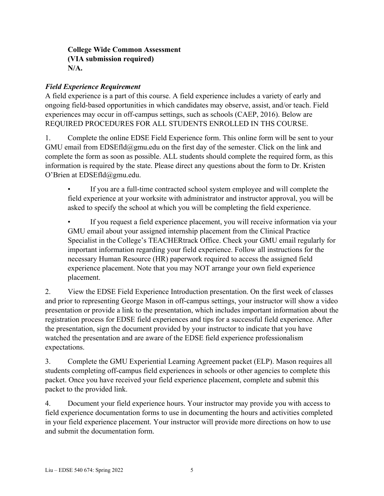# **College Wide Common Assessment (VIA submission required) N/A.**

# *Field Experience Requirement*

A field experience is a part of this course. A field experience includes a variety of early and ongoing field-based opportunities in which candidates may observe, assist, and/or teach. Field experiences may occur in off-campus settings, such as schools (CAEP, 2016). Below are REQUIRED PROCEDURES FOR ALL STUDENTS ENROLLED IN THS COURSE.

1. Complete the online EDSE Field Experience form. This online form will be sent to your GMU email from EDSEfld@gmu.edu on the first day of the semester. Click on the link and complete the form as soon as possible. ALL students should complete the required form, as this information is required by the state. Please direct any questions about the form to Dr. Kristen O'Brien at EDSEfld@gmu.edu.

If you are a full-time contracted school system employee and will complete the field experience at your worksite with administrator and instructor approval, you will be asked to specify the school at which you will be completing the field experience.

• If you request a field experience placement, you will receive information via your GMU email about your assigned internship placement from the Clinical Practice Specialist in the College's TEACHERtrack Office. Check your GMU email regularly for important information regarding your field experience. Follow all instructions for the necessary Human Resource (HR) paperwork required to access the assigned field experience placement. Note that you may NOT arrange your own field experience placement.

2. View the EDSE Field Experience Introduction presentation. On the first week of classes and prior to representing George Mason in off-campus settings, your instructor will show a video presentation or provide a link to the presentation, which includes important information about the registration process for EDSE field experiences and tips for a successful field experience. After the presentation, sign the document provided by your instructor to indicate that you have watched the presentation and are aware of the EDSE field experience professionalism expectations.

3. Complete the GMU Experiential Learning Agreement packet (ELP). Mason requires all students completing off-campus field experiences in schools or other agencies to complete this packet. Once you have received your field experience placement, complete and submit this packet to the provided link.

4. Document your field experience hours. Your instructor may provide you with access to field experience documentation forms to use in documenting the hours and activities completed in your field experience placement. Your instructor will provide more directions on how to use and submit the documentation form.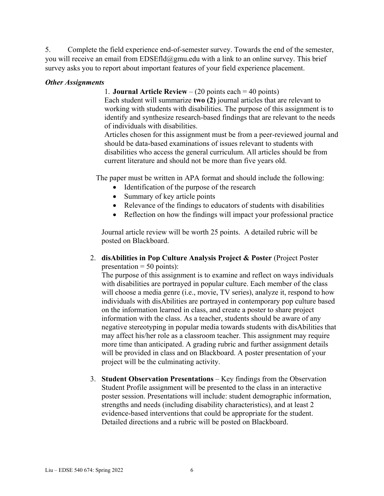5. Complete the field experience end-of-semester survey. Towards the end of the semester, you will receive an email from EDSEfld@gmu.edu with a link to an online survey. This brief survey asks you to report about important features of your field experience placement.

### *Other Assignments*

### 1. **Journal Article Review** – (20 points each = 40 points)

Each student will summarize **two (2)** journal articles that are relevant to working with students with disabilities. The purpose of this assignment is to identify and synthesize research-based findings that are relevant to the needs of individuals with disabilities.

Articles chosen for this assignment must be from a peer-reviewed journal and should be data-based examinations of issues relevant to students with disabilities who access the general curriculum. All articles should be from current literature and should not be more than five years old.

The paper must be written in APA format and should include the following:

- Identification of the purpose of the research
- Summary of key article points
- Relevance of the findings to educators of students with disabilities
- Reflection on how the findings will impact your professional practice

Journal article review will be worth 25 points. A detailed rubric will be posted on Blackboard.

### 2. **disAbilities in Pop Culture Analysis Project & Poster** (Project Poster presentation  $= 50$  points):

The purpose of this assignment is to examine and reflect on ways individuals with disabilities are portrayed in popular culture. Each member of the class will choose a media genre (i.e., movie, TV series), analyze it, respond to how individuals with disAbilities are portrayed in contemporary pop culture based on the information learned in class, and create a poster to share project information with the class. As a teacher, students should be aware of any negative stereotyping in popular media towards students with disAbilities that may affect his/her role as a classroom teacher. This assignment may require more time than anticipated. A grading rubric and further assignment details will be provided in class and on Blackboard. A poster presentation of your project will be the culminating activity.

3. **Student Observation Presentations** – Key findings from the Observation Student Profile assignment will be presented to the class in an interactive poster session. Presentations will include: student demographic information, strengths and needs (including disability characteristics), and at least 2 evidence-based interventions that could be appropriate for the student. Detailed directions and a rubric will be posted on Blackboard.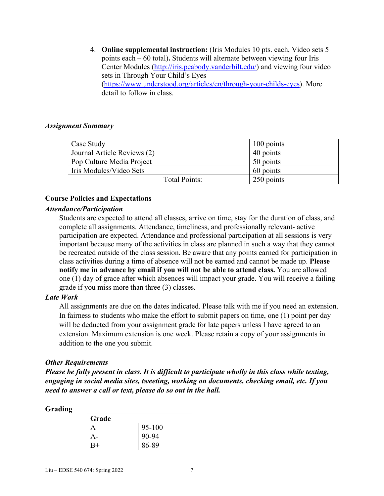4. **Online supplemental instruction:** (Iris Modules 10 pts. each, Video sets 5 points each – 60 total)**.** Students will alternate between viewing four Iris Center Modules [\(http://iris.peabody.vanderbilt.edu/\)](http://iris.peabody.vanderbilt.edu/) and viewing four video sets in Through Your Child's Eyes [\(https://www.understood.org/articles/en/through-your-childs-eyes\)](https://www.understood.org/articles/en/through-your-childs-eyes). More detail to follow in class.

### *Assignment Summary*

| Case Study                  | 100 points |
|-----------------------------|------------|
| Journal Article Reviews (2) | 40 points  |
| Pop Culture Media Project   | 50 points  |
| Iris Modules/Video Sets     | 60 points  |
| Total Points:               | 250 points |

### **Course Policies and Expectations**

### *Attendance/Participation*

Students are expected to attend all classes, arrive on time, stay for the duration of class, and complete all assignments. Attendance, timeliness, and professionally relevant- active participation are expected. Attendance and professional participation at all sessions is very important because many of the activities in class are planned in such a way that they cannot be recreated outside of the class session. Be aware that any points earned for participation in class activities during a time of absence will not be earned and cannot be made up. **Please notify me in advance by email if you will not be able to attend class.** You are allowed one (1) day of grace after which absences will impact your grade. You will receive a failing grade if you miss more than three (3) classes.

### *Late Work*

All assignments are due on the dates indicated. Please talk with me if you need an extension. In fairness to students who make the effort to submit papers on time, one (1) point per day will be deducted from your assignment grade for late papers unless I have agreed to an extension. Maximum extension is one week. Please retain a copy of your assignments in addition to the one you submit.

### *Other Requirements*

*Please be fully present in class. It is difficult to participate wholly in this class while texting, engaging in social media sites, tweeting, working on documents, checking email, etc. If you need to answer a call or text, please do so out in the hall.* 

#### **Grading**

| Grade |            |
|-------|------------|
|       | $95 - 100$ |
|       | 90-94      |
| $R+$  | 86-89      |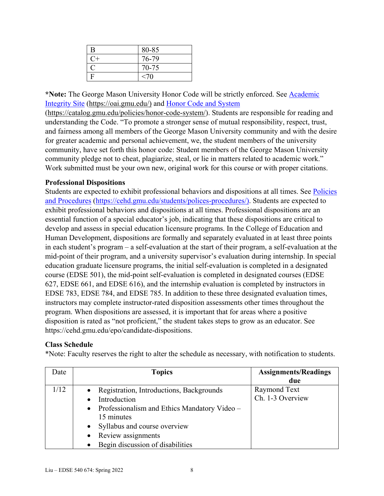| B    | 80-85     |
|------|-----------|
| $C+$ | 76-79     |
|      | $70 - 75$ |
|      | <70       |

**\*Note:** The George Mason University Honor Code will be strictly enforced. See [Academic](https://oai.gmu.edu/)  [Integrity Site](https://oai.gmu.edu/) [\(https://oai.gmu.edu/\)](https://oai.gmu.edu/) and [Honor Code and System](https://catalog.gmu.edu/policies/honor-code-system/)

[\(https://catalog.gmu.edu/policies/honor-code-system/\)](https://catalog.gmu.edu/policies/honor-code-system/). Students are responsible for reading and understanding the Code. "To promote a stronger sense of mutual responsibility, respect, trust, and fairness among all members of the George Mason University community and with the desire for greater academic and personal achievement, we, the student members of the university community, have set forth this honor code: Student members of the George Mason University community pledge not to cheat, plagiarize, steal, or lie in matters related to academic work." Work submitted must be your own new, original work for this course or with proper citations.

# **Professional Dispositions**

Students are expected to exhibit professional behaviors and dispositions at all times. See Policies [and Procedures](https://cehd.gmu.edu/students/polices-procedures/) [\(https://cehd.gmu.edu/students/polices-procedures/\)](https://cehd.gmu.edu/students/polices-procedures/). Students are expected to exhibit professional behaviors and dispositions at all times. Professional dispositions are an essential function of a special educator's job, indicating that these dispositions are critical to develop and assess in special education licensure programs. In the College of Education and Human Development, dispositions are formally and separately evaluated in at least three points in each student's program – a self-evaluation at the start of their program, a self-evaluation at the mid-point of their program, and a university supervisor's evaluation during internship. In special education graduate licensure programs, the initial self-evaluation is completed in a designated course (EDSE 501), the mid-point self-evaluation is completed in designated courses (EDSE 627, EDSE 661, and EDSE 616), and the internship evaluation is completed by instructors in EDSE 783, EDSE 784, and EDSE 785. In addition to these three designated evaluation times, instructors may complete instructor-rated disposition assessments other times throughout the program. When dispositions are assessed, it is important that for areas where a positive disposition is rated as "not proficient," the student takes steps to grow as an educator. See https://cehd.gmu.edu/epo/candidate-dispositions.

### **Class Schedule**

\*Note: Faculty reserves the right to alter the schedule as necessary, with notification to students.

| Date | <b>Topics</b>                                    | <b>Assignments/Readings</b> |
|------|--------------------------------------------------|-----------------------------|
|      |                                                  | due                         |
| 1/12 | Registration, Introductions, Backgrounds         | Raymond Text                |
|      | Introduction                                     | Ch. 1-3 Overview            |
|      | • Professionalism and Ethics Mandatory Video $-$ |                             |
|      | 15 minutes                                       |                             |
|      | Syllabus and course overview                     |                             |
|      | Review assignments                               |                             |
|      | Begin discussion of disabilities                 |                             |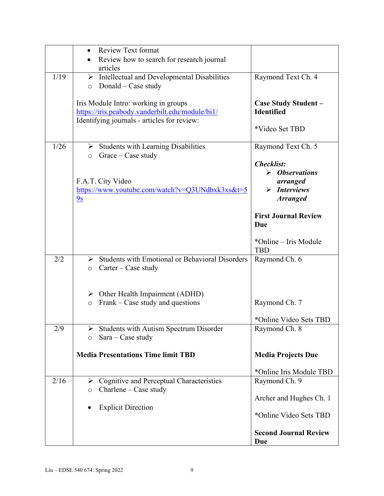|      | <b>Review Text format</b>                                                                                 |                                           |
|------|-----------------------------------------------------------------------------------------------------------|-------------------------------------------|
|      | Review how to search for research journal                                                                 |                                           |
|      | articles                                                                                                  |                                           |
| 1/19 | $\triangleright$ Intellectual and Developmental Disabilities                                              | Raymond Text Ch. 4                        |
|      | Donald – Case study<br>$\circ$                                                                            |                                           |
|      |                                                                                                           |                                           |
|      | Iris Module Intro: working in groups<br>https://iris.peabody.vanderbilt.edu/module/bi1/                   | Case Study Student -<br><b>Identified</b> |
|      | Identifying journals - articles for review:                                                               |                                           |
|      |                                                                                                           | *Video Set TBD                            |
|      |                                                                                                           |                                           |
| 1/26 | $\triangleright$ Students with Learning Disabilities                                                      | Raymond Text Ch. 5                        |
|      | Grace - Case study<br>$\circ$                                                                             |                                           |
|      |                                                                                                           | <b>Checklist:</b>                         |
|      | F.A.T. City Video                                                                                         | $\triangleright$ Observations<br>arranged |
|      | $\frac{https://www.youtube.com/watch?v=Q3UNdbxk3xs&t=5}{https://www.youtube.com/watch?v=Q3UNdbxk3xs&t=5}$ | $\triangleright$ Interviews               |
|      | 9s                                                                                                        | <b>Arranged</b>                           |
|      |                                                                                                           |                                           |
|      |                                                                                                           | <b>First Journal Review</b>               |
|      |                                                                                                           | Due                                       |
|      |                                                                                                           |                                           |
|      |                                                                                                           | *Online – Iris Module<br><b>TBD</b>       |
| 2/2  | Students with Emotional or Behavioral Disorders                                                           | Raymond Ch. 6                             |
|      | $\text{Carter} - \text{Case study}$<br>$\circ$                                                            |                                           |
|      |                                                                                                           |                                           |
|      |                                                                                                           |                                           |
|      | $\triangleright$ Other Health Impairment (ADHD)                                                           |                                           |
|      | Frank – Case study and questions<br>$\circ$                                                               | Raymond Ch. 7                             |
|      |                                                                                                           | *Online Video Sets TBD                    |
| 2/9  | $\triangleright$ Students with Autism Spectrum Disorder                                                   | Raymond Ch. 8                             |
|      | $Sara - Case study$<br>$\circ$                                                                            |                                           |
|      |                                                                                                           |                                           |
|      | <b>Media Presentations Time limit TBD</b>                                                                 | <b>Media Projects Due</b>                 |
|      |                                                                                                           |                                           |
|      |                                                                                                           | *Online Iris Module TBD                   |
| 2/16 | $\triangleright$ Cognitive and Perceptual Characteristics                                                 | Raymond Ch. 9                             |
|      | $Charlene-Case study$<br>$\circ$                                                                          | Archer and Hughes Ch. 1                   |
|      | <b>Explicit Direction</b>                                                                                 |                                           |
|      |                                                                                                           | *Online Video Sets TBD                    |
|      |                                                                                                           |                                           |
|      |                                                                                                           | <b>Second Journal Review</b>              |
|      |                                                                                                           | Due                                       |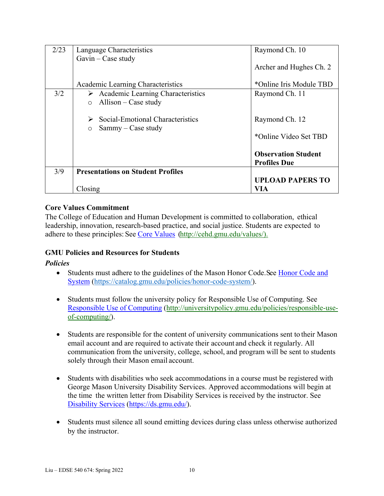| 2/23 | Language Characteristics                                                             | Raymond Ch. 10                                    |
|------|--------------------------------------------------------------------------------------|---------------------------------------------------|
|      | $Gavin - Case study$                                                                 | Archer and Hughes Ch. 2                           |
|      | Academic Learning Characteristics                                                    | *Online Iris Module TBD                           |
| 3/2  | $\triangleright$ Academic Learning Characteristics                                   | Raymond Ch. 11                                    |
|      | $\circ$ Allison – Case study                                                         |                                                   |
|      | $\triangleright$ Social-Emotional Characteristics<br>$Sammy - Case$ study<br>$\circ$ | Raymond Ch. 12                                    |
|      |                                                                                      | *Online Video Set TBD                             |
|      |                                                                                      | <b>Observation Student</b><br><b>Profiles Due</b> |
| 3/9  | <b>Presentations on Student Profiles</b>                                             |                                                   |
|      |                                                                                      | <b>UPLOAD PAPERS TO</b>                           |
|      | Closing                                                                              | VIA                                               |

### **Core Values Commitment**

The College of Education and Human Development is committed to collaboration, ethical leadership, innovation, research-based practice, and social justice. Students are expected to adhere to these principles: See [Core Values](http://cehd.gmu.edu/values/) [\(http://cehd.gmu.edu/values/\)](http://cehd.gmu.edu/values/).

### **GMU Policies and Resources for Students**

### *Policies*

- Students must adhere to the guidelines of the Mason Honor Code. See Honor Code and [System](https://catalog.gmu.edu/policies/honor-code-system/) [\(https://catalog.gmu.edu/policies/honor-code-system/\)](https://catalog.gmu.edu/policies/honor-code-system/).
- Students must follow the university policy for Responsible Use of Computing. See [Responsible Use of Computing](http://universitypolicy.gmu.edu/policies/responsible-use-of-computing/) [\(http://universitypolicy.gmu.edu/policies/responsible-use](http://universitypolicy.gmu.edu/policies/responsible-use-of-computing/)[of-computing/\)](http://universitypolicy.gmu.edu/policies/responsible-use-of-computing/).
- Students are responsible for the content of university communications sent to their Mason email account and are required to activate their account and check it regularly. All communication from the university, college, school, and program will be sent to students solely through their Mason email account.
- Students with disabilities who seek accommodations in a course must be registered with George Mason University Disability Services. Approved accommodations will begin at the time the written letter from Disability Services is received by the instructor. See [Disability Services](https://ds.gmu.edu/) [\(https://ds.gmu.edu/\)](https://ds.gmu.edu/).
- Students must silence all sound emitting devices during class unless otherwise authorized by the instructor.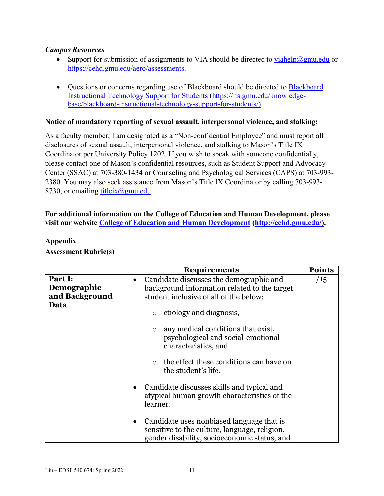### *Campus Resources*

- Support for submission of assignments to VIA should be directed to [viahelp@gmu.edu](mailto:viahelp@gmu.edu) or [https://cehd.gmu.edu/aero/assessments.](https://cehd.gmu.edu/aero/assessments)
- Ouestions or concerns regarding use of [Blackboard](https://its.gmu.edu/knowledge-base/blackboard-instructional-technology-support-for-students/) should be directed to Blackboard [Instructional Technology Support for Students](https://its.gmu.edu/knowledge-base/blackboard-instructional-technology-support-for-students/) [\(https://its.gmu.edu/knowledge](https://its.gmu.edu/knowledge-base/blackboard-instructional-technology-support-for-students/)[base/blackboard-instructional-technology-support-for-students/\)](https://its.gmu.edu/knowledge-base/blackboard-instructional-technology-support-for-students/).

### **Notice of mandatory reporting of sexual assault, interpersonal violence, and stalking:**

As a faculty member, I am designated as a "Non-confidential Employee" and must report all disclosures of sexual assault, interpersonal violence, and stalking to Mason's Title IX Coordinator per University Policy 1202. If you wish to speak with someone confidentially, please contact one of Mason's confidential resources, such as Student Support and Advocacy Center (SSAC) at 703-380-1434 or Counseling and Psychological Services (CAPS) at 703-993- 2380. You may also seek assistance from Mason's Title IX Coordinator by calling 703-993- 8730, or emailing titleix $(\partial g$ gmu.edu.

### **For additional information on the College of Education and Human Development, please visit our website [College of Education and Human Development](http://cehd.gmu.edu/) [\(http://cehd.gmu.edu/\)](https://cehd.gmu.edu/).**

|                                          | <b>Requirements</b>                                                                                                                          | <b>Points</b> |
|------------------------------------------|----------------------------------------------------------------------------------------------------------------------------------------------|---------------|
| Part I:<br>Demographic<br>and Background | Candidate discusses the demographic and<br>background information related to the target<br>student inclusive of all of the below:            | /15           |
| Data                                     | etiology and diagnosis,<br>$\circ$                                                                                                           |               |
|                                          | any medical conditions that exist,<br>$\circ$<br>psychological and social-emotional<br>characteristics, and                                  |               |
|                                          | the effect these conditions can have on<br>$\circ$<br>the student's life.                                                                    |               |
|                                          | • Candidate discusses skills and typical and<br>atypical human growth characteristics of the<br>learner.                                     |               |
|                                          | • Candidate uses nonbiased language that is<br>sensitive to the culture, language, religion,<br>gender disability, socioeconomic status, and |               |

### **Appendix Assessment Rubric(s)**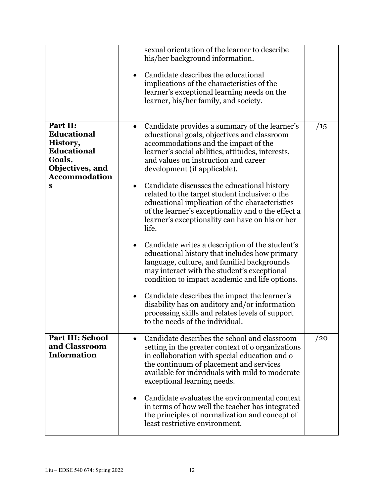|                                                                                                                                      | sexual orientation of the learner to describe<br>his/her background information.<br>Candidate describes the educational<br>implications of the characteristics of the<br>learner's exceptional learning needs on the<br>learner, his/her family, and society.                                                                                                                                                                     |     |
|--------------------------------------------------------------------------------------------------------------------------------------|-----------------------------------------------------------------------------------------------------------------------------------------------------------------------------------------------------------------------------------------------------------------------------------------------------------------------------------------------------------------------------------------------------------------------------------|-----|
| Part II:<br><b>Educational</b><br>History,<br><b>Educational</b><br>Goals,<br>Objectives, and<br><b>Accommodation</b><br>$\mathbf S$ | Candidate provides a summary of the learner's<br>educational goals, objectives and classroom<br>accommodations and the impact of the<br>learner's social abilities, attitudes, interests,<br>and values on instruction and career<br>development (if applicable).<br>Candidate discusses the educational history<br>$\bullet$<br>related to the target student inclusive: o the<br>educational implication of the characteristics | /15 |
|                                                                                                                                      | of the learner's exceptionality and o the effect a<br>learner's exceptionality can have on his or her<br>life.<br>Candidate writes a description of the student's<br>$\bullet$<br>educational history that includes how primary<br>language, culture, and familial backgrounds<br>may interact with the student's exceptional<br>condition to impact academic and life options.                                                   |     |
|                                                                                                                                      | Candidate describes the impact the learner's<br>disability has on auditory and/or information<br>processing skills and relates levels of support<br>to the needs of the individual.                                                                                                                                                                                                                                               |     |
| <b>Part III: School</b><br>and Classroom<br><b>Information</b>                                                                       | Candidate describes the school and classroom<br>setting in the greater context of o organizations<br>in collaboration with special education and o<br>the continuum of placement and services<br>available for individuals with mild to moderate<br>exceptional learning needs.                                                                                                                                                   | /20 |
|                                                                                                                                      | Candidate evaluates the environmental context<br>in terms of how well the teacher has integrated<br>the principles of normalization and concept of<br>least restrictive environment.                                                                                                                                                                                                                                              |     |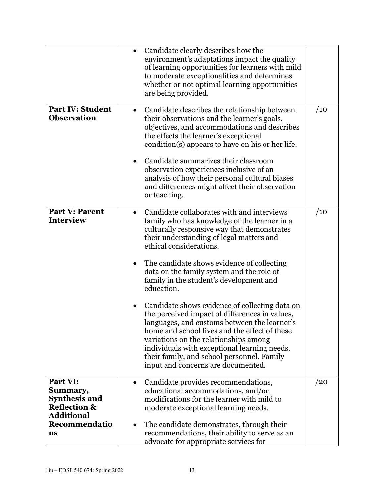|                                                                                              | Candidate clearly describes how the<br>environment's adaptations impact the quality<br>of learning opportunities for learners with mild<br>to moderate exceptionalities and determines<br>whether or not optimal learning opportunities<br>are being provided.                                                                                                                 |     |
|----------------------------------------------------------------------------------------------|--------------------------------------------------------------------------------------------------------------------------------------------------------------------------------------------------------------------------------------------------------------------------------------------------------------------------------------------------------------------------------|-----|
| <b>Part IV: Student</b><br><b>Observation</b>                                                | Candidate describes the relationship between<br>$\bullet$<br>their observations and the learner's goals,<br>objectives, and accommodations and describes<br>the effects the learner's exceptional<br>condition(s) appears to have on his or her life.<br>Candidate summarizes their classroom                                                                                  | /10 |
|                                                                                              | observation experiences inclusive of an<br>analysis of how their personal cultural biases<br>and differences might affect their observation<br>or teaching.                                                                                                                                                                                                                    |     |
| <b>Part V: Parent</b><br><b>Interview</b>                                                    | Candidate collaborates with and interviews<br>$\bullet$<br>family who has knowledge of the learner in a<br>culturally responsive way that demonstrates<br>their understanding of legal matters and<br>ethical considerations.                                                                                                                                                  | /10 |
|                                                                                              | The candidate shows evidence of collecting<br>data on the family system and the role of<br>family in the student's development and<br>education.                                                                                                                                                                                                                               |     |
|                                                                                              | Candidate shows evidence of collecting data on<br>the perceived impact of differences in values,<br>languages, and customs between the learner's<br>home and school lives and the effect of these<br>variations on the relationships among<br>individuals with exceptional learning needs,<br>their family, and school personnel. Family<br>input and concerns are documented. |     |
| Part VI:<br>Summary,<br><b>Synthesis and</b><br><b>Reflection &amp;</b><br><b>Additional</b> | Candidate provides recommendations,<br>educational accommodations, and/or<br>modifications for the learner with mild to<br>moderate exceptional learning needs.                                                                                                                                                                                                                | /20 |
| Recommendatio<br>$\mathbf{ns}$                                                               | The candidate demonstrates, through their<br>٠<br>recommendations, their ability to serve as an<br>advocate for appropriate services for                                                                                                                                                                                                                                       |     |